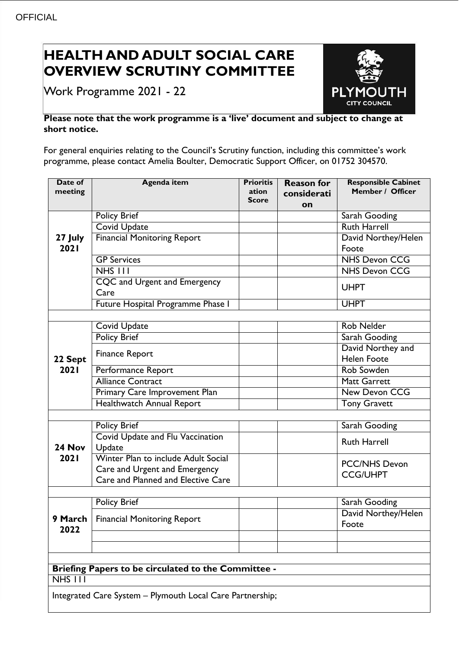## **HEALTH AND ADULT SOCIAL CARE OVERVIEW SCRUTINY COMMITTEE**

Work Programme 2021 - 22



## **Please note that the work programme is a 'live' document and subject to change at short notice.**

For general enquiries relating to the Council's Scrutiny function, including this committee's work programme, please contact Amelia Boulter, Democratic Support Officer, on 01752 304570.

| Date of<br>meeting                                        | <b>Agenda item</b>                         | <b>Prioritis</b><br>ation<br><b>Score</b> | <b>Reason for</b><br>considerati<br>on | <b>Responsible Cabinet</b><br>Member / Officer |
|-----------------------------------------------------------|--------------------------------------------|-------------------------------------------|----------------------------------------|------------------------------------------------|
| 27 July                                                   | <b>Policy Brief</b>                        |                                           |                                        | Sarah Gooding                                  |
|                                                           | <b>Covid Update</b>                        |                                           |                                        | <b>Ruth Harrell</b>                            |
|                                                           | <b>Financial Monitoring Report</b>         |                                           |                                        | David Northey/Helen                            |
| 2021                                                      |                                            |                                           |                                        | Foote                                          |
|                                                           | <b>GP Services</b>                         |                                           |                                        | <b>NHS Devon CCG</b>                           |
|                                                           | $NHS$ $111$                                |                                           |                                        | <b>NHS Devon CCG</b>                           |
|                                                           | <b>CQC</b> and Urgent and Emergency        |                                           |                                        | <b>UHPT</b>                                    |
|                                                           | Care                                       |                                           |                                        |                                                |
|                                                           | Future Hospital Programme Phase I          |                                           |                                        | <b>UHPT</b>                                    |
|                                                           |                                            |                                           |                                        |                                                |
| 22 Sept<br>2021                                           | <b>Covid Update</b>                        |                                           |                                        | <b>Rob Nelder</b>                              |
|                                                           | <b>Policy Brief</b>                        |                                           |                                        | Sarah Gooding                                  |
|                                                           | <b>Finance Report</b>                      |                                           |                                        | David Northey and                              |
|                                                           |                                            |                                           |                                        | <b>Helen Foote</b>                             |
|                                                           | Performance Report                         |                                           |                                        | Rob Sowden                                     |
|                                                           | <b>Alliance Contract</b>                   |                                           |                                        | <b>Matt Garrett</b>                            |
|                                                           | Primary Care Improvement Plan              |                                           |                                        | <b>New Devon CCG</b>                           |
|                                                           | Healthwatch Annual Report                  |                                           |                                        | <b>Tony Gravett</b>                            |
|                                                           |                                            |                                           |                                        |                                                |
| 24 Nov                                                    | Policy Brief                               |                                           |                                        | Sarah Gooding                                  |
|                                                           | Covid Update and Flu Vaccination<br>Update |                                           |                                        | <b>Ruth Harrell</b>                            |
| 2021                                                      | Winter Plan to include Adult Social        |                                           |                                        | <b>PCC/NHS Devon</b>                           |
|                                                           | Care and Urgent and Emergency              |                                           |                                        | <b>CCG/UHPT</b>                                |
|                                                           | Care and Planned and Elective Care         |                                           |                                        |                                                |
|                                                           |                                            |                                           |                                        |                                                |
| 2022                                                      | Policy Brief                               |                                           |                                        | Sarah Gooding                                  |
|                                                           | 9 March   Financial Monitoring Report      |                                           |                                        | David Northey/Helen<br>Foote                   |
|                                                           |                                            |                                           |                                        |                                                |
|                                                           |                                            |                                           |                                        |                                                |
|                                                           |                                            |                                           |                                        |                                                |
| Briefing Papers to be circulated to the Committee -       |                                            |                                           |                                        |                                                |
| $NHS$ $111$                                               |                                            |                                           |                                        |                                                |
| Integrated Care System - Plymouth Local Care Partnership; |                                            |                                           |                                        |                                                |